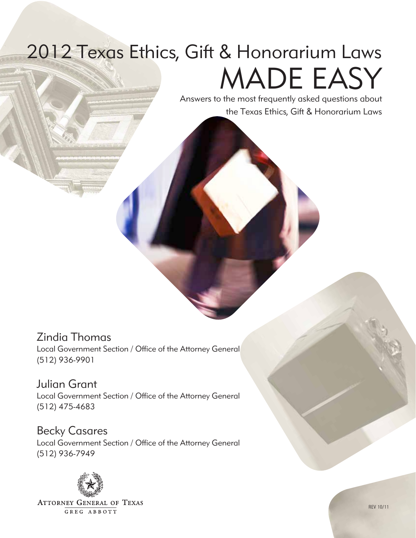# 2012 Texas Ethics, Gift & Honorarium Laws MADE EASY

Answers to the most frequently asked questions about the Texas Ethics, Gift & Honorarium Laws

# Zindia Thomas

Local Government Section / Office of the Attorney General (512) 936-9901

Julian Grant Local Government Section / Office of the Attorney General (512) 475-4683

Becky Casares Local Government Section / Office of the Attorney General (512) 936-7949



**ATTORNEY GENERAL OF TEXAS** GREG ABBOTT

rev 10/11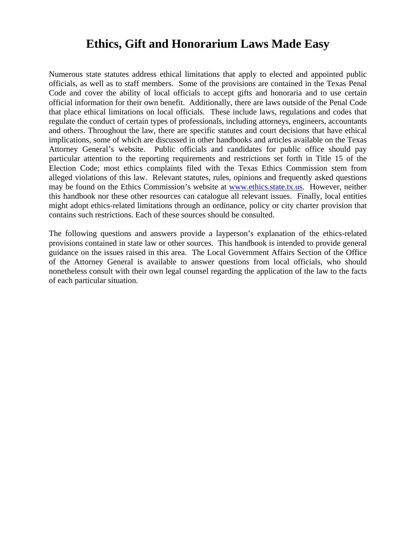# **Ethics, Gift and Honorarium Laws Made Easy**

Numerous state statutes address ethical limitations that apply to elected and appointed public officials, as well as to staff members. Some of the provisions are contained in the Texas Penal Code and cover the ability of local officials to accept gifts and honoraria and to use certain official information for their own benefit. Additionally, there are laws outside of the Penal Code that place ethical limitations on local officials. These include laws, regulations and codes that regulate the conduct of certain types of professionals, including attorneys, engineers, accountants and others. Throughout the law, there are specific statutes and court decisions that have ethical implications, some of which are discussed in other handbooks and articles available on the Texas Attorney General's website. Public officials and candidates for public office should pay particular attention to the reporting requirements and restrictions set forth in Title 15 of the Election Code; most ethics complaints filed with the Texas Ethics Commission stem from alleged violations of this law. Relevant statutes, rules, opinions and frequently asked questions may be found on the Ethics Commission's website at www.ethics.state.tx.us. However, neither this handbook nor these other resources can catalogue all relevant issues. Finally, local entities might adopt ethics-related limitations through an ordinance, policy or city charter provision that contains such restrictions. Each of these sources should be consulted.

The following questions and answers provide a layperson's explanation of the ethics-related provisions contained in state law or other sources. This handbook is intended to provide general guidance on the issues raised in this area. The Local Government Affairs Section of the Office of the Attorney General is available to answer questions from local officials, who should nonetheless consult with their own legal counsel regarding the application of the law to the facts of each particular situation.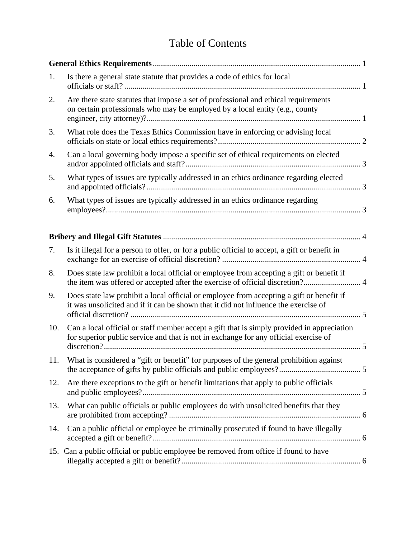# Table of Contents

| 1.  | Is there a general state statute that provides a code of ethics for local                                                                                                          |  |
|-----|------------------------------------------------------------------------------------------------------------------------------------------------------------------------------------|--|
| 2.  | Are there state statutes that impose a set of professional and ethical requirements<br>on certain professionals who may be employed by a local entity (e.g., county                |  |
| 3.  | What role does the Texas Ethics Commission have in enforcing or advising local                                                                                                     |  |
| 4.  | Can a local governing body impose a specific set of ethical requirements on elected                                                                                                |  |
| 5.  | What types of issues are typically addressed in an ethics ordinance regarding elected                                                                                              |  |
| 6.  | What types of issues are typically addressed in an ethics ordinance regarding                                                                                                      |  |
|     |                                                                                                                                                                                    |  |
| 7.  | Is it illegal for a person to offer, or for a public official to accept, a gift or benefit in                                                                                      |  |
| 8.  | Does state law prohibit a local official or employee from accepting a gift or benefit if<br>the item was offered or accepted after the exercise of official discretion? 4          |  |
| 9.  | Does state law prohibit a local official or employee from accepting a gift or benefit if<br>it was unsolicited and if it can be shown that it did not influence the exercise of    |  |
| 10. | Can a local official or staff member accept a gift that is simply provided in appreciation<br>for superior public service and that is not in exchange for any official exercise of |  |
| 11. | What is considered a "gift or benefit" for purposes of the general prohibition against                                                                                             |  |
| 12. | Are there exceptions to the gift or benefit limitations that apply to public officials                                                                                             |  |
| 13. | What can public officials or public employees do with unsolicited benefits that they                                                                                               |  |
| 14. | Can a public official or employee be criminally prosecuted if found to have illegally                                                                                              |  |
|     | 15. Can a public official or public employee be removed from office if found to have                                                                                               |  |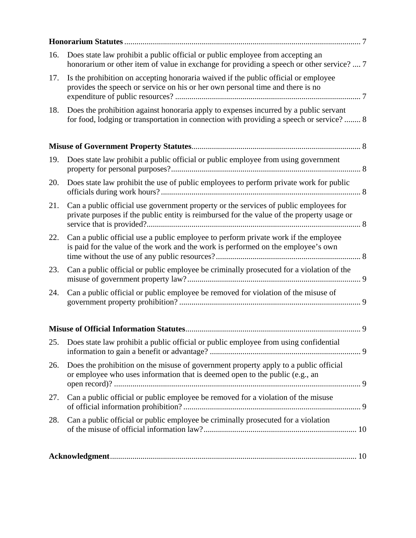| 16. | Does state law prohibit a public official or public employee from accepting an<br>honorarium or other item of value in exchange for providing a speech or other service?  7         |
|-----|-------------------------------------------------------------------------------------------------------------------------------------------------------------------------------------|
| 17. | Is the prohibition on accepting honoraria waived if the public official or employee<br>provides the speech or service on his or her own personal time and there is no               |
| 18. | Does the prohibition against honoraria apply to expenses incurred by a public servant<br>for food, lodging or transportation in connection with providing a speech or service? 8    |
|     |                                                                                                                                                                                     |
| 19. | Does state law prohibit a public official or public employee from using government                                                                                                  |
| 20. | Does state law prohibit the use of public employees to perform private work for public                                                                                              |
| 21. | Can a public official use government property or the services of public employees for<br>private purposes if the public entity is reimbursed for the value of the property usage or |
| 22. | Can a public official use a public employee to perform private work if the employee<br>is paid for the value of the work and the work is performed on the employee's own            |
| 23. | Can a public official or public employee be criminally prosecuted for a violation of the                                                                                            |
| 24. | Can a public official or public employee be removed for violation of the misuse of                                                                                                  |
|     |                                                                                                                                                                                     |
| 25. | Does state law prohibit a public official or public employee from using confidential                                                                                                |
| 26. | Does the prohibition on the misuse of government property apply to a public official<br>or employee who uses information that is deemed open to the public (e.g., an                |
| 27. | Can a public official or public employee be removed for a violation of the misuse                                                                                                   |
| 28. | Can a public official or public employee be criminally prosecuted for a violation                                                                                                   |
|     |                                                                                                                                                                                     |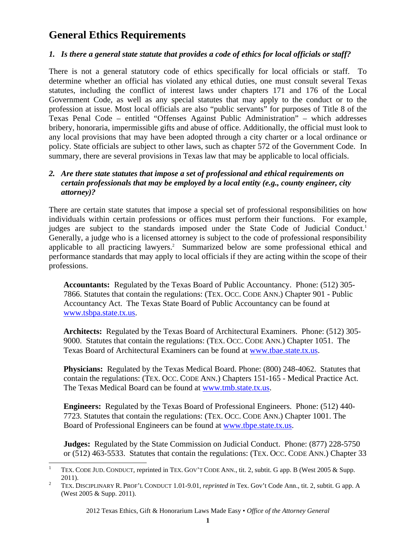# **General Ethics Requirements**

#### *1. Is there a general state statute that provides a code of ethics for local officials or staff?*

There is not a general statutory code of ethics specifically for local officials or staff. To determine whether an official has violated any ethical duties, one must consult several Texas statutes, including the conflict of interest laws under chapters 171 and 176 of the Local Government Code, as well as any special statutes that may apply to the conduct or to the profession at issue. Most local officials are also "public servants" for purposes of Title 8 of the Texas Penal Code – entitled "Offenses Against Public Administration" – which addresses bribery, honoraria, impermissible gifts and abuse of office. Additionally, the official must look to any local provisions that may have been adopted through a city charter or a local ordinance or policy. State officials are subject to other laws, such as chapter 572 of the Government Code. In summary, there are several provisions in Texas law that may be applicable to local officials.

#### *2. Are there state statutes that impose a set of professional and ethical requirements on certain professionals that may be employed by a local entity (e.g., county engineer, city attorney)?*

There are certain state statutes that impose a special set of professional responsibilities on how individuals within certain professions or offices must perform their functions. For example, judges are subject to the standards imposed under the State Code of Judicial Conduct.<sup>1</sup> Generally, a judge who is a licensed attorney is subject to the code of professional responsibility applicable to all practicing lawyers.<sup>2</sup> Summarized below are some professional ethical and performance standards that may apply to local officials if they are acting within the scope of their professions.

**Accountants:** Regulated by the Texas Board of Public Accountancy. Phone: (512) 305- 7866. Statutes that contain the regulations: (TEX. OCC. CODE ANN.) Chapter 901 - Public Accountancy Act. The Texas State Board of Public Accountancy can be found at www.tsbpa.state.tx.us.

**Architects:** Regulated by the Texas Board of Architectural Examiners. Phone: (512) 305- 9000. Statutes that contain the regulations: (TEX. OCC. CODE ANN.) Chapter 1051. The Texas Board of Architectural Examiners can be found at www.tbae.state.tx.us.

**Physicians:** Regulated by the Texas Medical Board. Phone: (800) 248-4062. Statutes that contain the regulations: (TEX. OCC. CODE ANN.) Chapters 151-165 - Medical Practice Act. The Texas Medical Board can be found at www.tmb.state.tx.us.

**Engineers:** Regulated by the Texas Board of Professional Engineers. Phone: (512) 440- 7723. Statutes that contain the regulations: (TEX. OCC. CODE ANN.) Chapter 1001. The Board of Professional Engineers can be found at www.tbpe.state.tx.us.

**Judges:** Regulated by the State Commission on Judicial Conduct. Phone: (877) 228-5750 or (512) 463-5533. Statutes that contain the regulations: (TEX. OCC. CODE ANN.) Chapter 33

<sup>|&</sup>lt;br>|<br>| TEX. CODE JUD. CONDUCT, reprinted in TEX. GOV'T CODE ANN., tit. 2, subtit. G app. B (West 2005 & Supp.  $\frac{2011}{2}$ .

TEX. DISCIPLINARY R. PROF'L CONDUCT 1.01-9.01, *reprinted in* Tex. Gov't Code Ann., tit. 2, subtit. G app. A (West 2005 & Supp. 2011).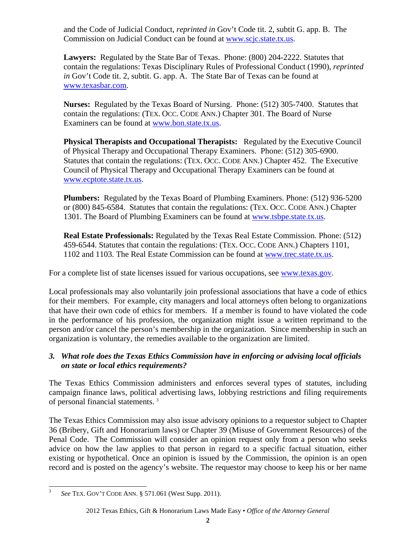and the Code of Judicial Conduct, *reprinted in* Gov't Code tit. 2, subtit G. app. B. The Commission on Judicial Conduct can be found at www.scjc.state.tx.us.

**Lawyers:** Regulated by the State Bar of Texas. Phone: (800) 204-2222. Statutes that contain the regulations: Texas Disciplinary Rules of Professional Conduct (1990), *reprinted in* Gov't Code tit. 2, subtit. G. app. A. The State Bar of Texas can be found at www.texasbar.com.

**Nurses:** Regulated by the Texas Board of Nursing. Phone: (512) 305-7400. Statutes that contain the regulations: (TEX. OCC. CODE ANN.) Chapter 301. The Board of Nurse Examiners can be found at www.bon.state.tx.us.

**Physical Therapists and Occupational Therapists:** Regulated by the Executive Council of Physical Therapy and Occupational Therapy Examiners. Phone: (512) 305-6900. Statutes that contain the regulations: (TEX. OCC. CODE ANN.) Chapter 452. The Executive Council of Physical Therapy and Occupational Therapy Examiners can be found at www.ecptote.state.tx.us.

**Plumbers:** Regulated by the Texas Board of Plumbing Examiners. Phone: (512) 936-5200 or (800) 845-6584. Statutes that contain the regulations: (TEX. OCC. CODE ANN.) Chapter 1301. The Board of Plumbing Examiners can be found at www.tsbpe.state.tx.us.

**Real Estate Professionals:** Regulated by the Texas Real Estate Commission. Phone: (512) 459-6544. Statutes that contain the regulations: (TEX. OCC. CODE ANN.) Chapters 1101, 1102 and 1103. The Real Estate Commission can be found at www.trec.state.tx.us.

For a complete list of state licenses issued for various occupations, see www.texas.gov.

Local professionals may also voluntarily join professional associations that have a code of ethics for their members. For example, city managers and local attorneys often belong to organizations that have their own code of ethics for members. If a member is found to have violated the code in the performance of his profession, the organization might issue a written reprimand to the person and/or cancel the person's membership in the organization. Since membership in such an organization is voluntary, the remedies available to the organization are limited.

## *3. What role does the Texas Ethics Commission have in enforcing or advising local officials on state or local ethics requirements?*

The Texas Ethics Commission administers and enforces several types of statutes, including campaign finance laws, political advertising laws, lobbying restrictions and filing requirements of personal financial statements.<sup>3</sup>

The Texas Ethics Commission may also issue advisory opinions to a requestor subject to Chapter 36 (Bribery, Gift and Honorarium laws) or Chapter 39 (Misuse of Government Resources) of the Penal Code. The Commission will consider an opinion request only from a person who seeks advice on how the law applies to that person in regard to a specific factual situation, either existing or hypothetical. Once an opinion is issued by the Commission, the opinion is an open record and is posted on the agency's website. The requestor may choose to keep his or her name

 $\overline{a}$ <sup>3</sup> *See* TEX. GOV'T CODE ANN. § 571.061 (West Supp. 2011).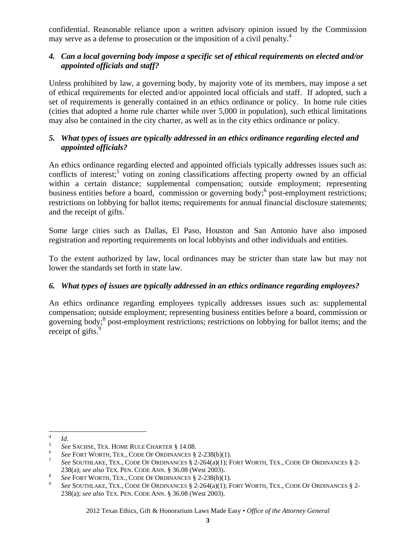confidential. Reasonable reliance upon a written advisory opinion issued by the Commission may serve as a defense to prosecution or the imposition of a civil penalty.<sup>4</sup>

#### *4. Can a local governing body impose a specific set of ethical requirements on elected and/or appointed officials and staff?*

Unless prohibited by law, a governing body, by majority vote of its members, may impose a set of ethical requirements for elected and/or appointed local officials and staff. If adopted, such a set of requirements is generally contained in an ethics ordinance or policy. In home rule cities (cities that adopted a home rule charter while over 5,000 in population), such ethical limitations may also be contained in the city charter, as well as in the city ethics ordinance or policy.

## *5. What types of issues are typically addressed in an ethics ordinance regarding elected and appointed officials?*

An ethics ordinance regarding elected and appointed officials typically addresses issues such as: conflicts of interest;<sup>5</sup> voting on zoning classifications affecting property owned by an official within a certain distance; supplemental compensation; outside employment; representing business entities before a board, commission or governing body;<sup>6</sup> post-employment restrictions; restrictions on lobbying for ballot items; requirements for annual financial disclosure statements; and the receipt of gifts.<sup>7</sup>

Some large cities such as Dallas, El Paso, Houston and San Antonio have also imposed registration and reporting requirements on local lobbyists and other individuals and entities.

To the extent authorized by law, local ordinances may be stricter than state law but may not lower the standards set forth in state law.

## *6. What types of issues are typically addressed in an ethics ordinance regarding employees?*

An ethics ordinance regarding employees typically addresses issues such as: supplemental compensation; outside employment; representing business entities before a board, commission or governing body;<sup>8</sup> post-employment restrictions; restrictions on lobbying for ballot items; and the receipt of gifts.<sup>9</sup>

 $\frac{1}{4}$  $\frac{4}{5}$  *Id.* 

<sup>&</sup>lt;sup>5</sup> See SACHSE, TEX. HOME RULE CHARTER § 14.08.

<sup>&</sup>lt;sup>6</sup> See FORT WORTH, TEX., CODE OF ORDINANCES  $\S$  2-238(b)(1).

*See* SOUTHLAKE, TEX., CODE OF ORDINANCES § 2-264(a)(1); FORT WORTH, TEX., CODE OF ORDINANCES § 2- 238(a); *see also* TEX. PEN. CODE ANN. § 36.08 (West 2003).

See FORT WORTH, TEX., CODE OF ORDINANCES § 2-238(b)(1).

*See* SOUTHLAKE, TEX., CODE OF ORDINANCES § 2-264(a)(1); FORT WORTH, TEX., CODE OF ORDINANCES § 2- 238(a); *see also* TEX. PEN. CODE ANN. § 36.08 (West 2003).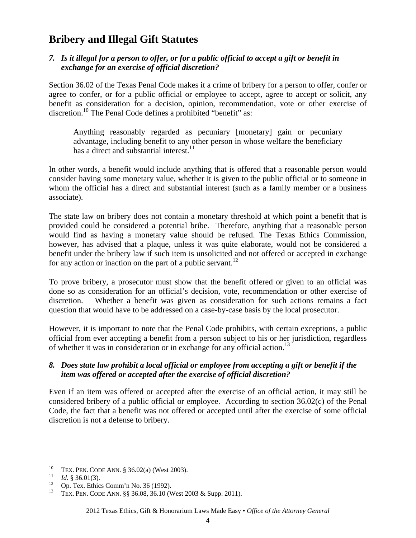# **Bribery and Illegal Gift Statutes**

#### *7. Is it illegal for a person to offer, or for a public official to accept a gift or benefit in exchange for an exercise of official discretion?*

Section 36.02 of the Texas Penal Code makes it a crime of bribery for a person to offer, confer or agree to confer, or for a public official or employee to accept, agree to accept or solicit, any benefit as consideration for a decision, opinion, recommendation, vote or other exercise of discretion.<sup>10</sup> The Penal Code defines a prohibited "benefit" as:

Anything reasonably regarded as pecuniary [monetary] gain or pecuniary advantage, including benefit to any other person in whose welfare the beneficiary has a direct and substantial interest. $^{11}$ 

In other words, a benefit would include anything that is offered that a reasonable person would consider having some monetary value, whether it is given to the public official or to someone in whom the official has a direct and substantial interest (such as a family member or a business associate).

The state law on bribery does not contain a monetary threshold at which point a benefit that is provided could be considered a potential bribe. Therefore, anything that a reasonable person would find as having a monetary value should be refused. The Texas Ethics Commission, however, has advised that a plaque, unless it was quite elaborate, would not be considered a benefit under the bribery law if such item is unsolicited and not offered or accepted in exchange for any action or inaction on the part of a public servant.<sup>12</sup>

To prove bribery, a prosecutor must show that the benefit offered or given to an official was done so as consideration for an official's decision, vote, recommendation or other exercise of discretion. Whether a benefit was given as consideration for such actions remains a fact question that would have to be addressed on a case-by-case basis by the local prosecutor.

However, it is important to note that the Penal Code prohibits, with certain exceptions, a public official from ever accepting a benefit from a person subject to his or her jurisdiction, regardless of whether it was in consideration or in exchange for any official action.<sup>13</sup>

#### *8. Does state law prohibit a local official or employee from accepting a gift or benefit if the item was offered or accepted after the exercise of official discretion?*

Even if an item was offered or accepted after the exercise of an official action, it may still be considered bribery of a public official or employee. According to section 36.02(c) of the Penal Code, the fact that a benefit was not offered or accepted until after the exercise of some official discretion is not a defense to bribery.

<sup>10</sup> 10 TEX. PEN. CODE ANN. § 36.02(a) (West 2003).<br>
11 *Id.* § 36.01(3).<br>
12 Op. Tex. Ethics Comm'n No. 36 (1992).<br>
13 TEV. PEN. CODE ANN. § 36.08.26.10 (West 2

TEX. PEN. CODE ANN. §§ 36.08, 36.10 (West 2003 & Supp. 2011).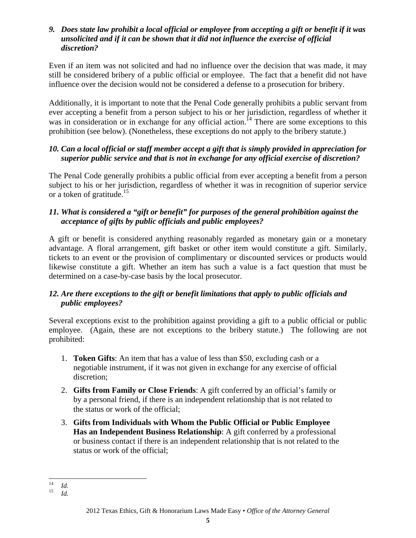#### *9. Does state law prohibit a local official or employee from accepting a gift or benefit if it was unsolicited and if it can be shown that it did not influence the exercise of official discretion?*

Even if an item was not solicited and had no influence over the decision that was made, it may still be considered bribery of a public official or employee. The fact that a benefit did not have influence over the decision would not be considered a defense to a prosecution for bribery.

Additionally, it is important to note that the Penal Code generally prohibits a public servant from ever accepting a benefit from a person subject to his or her jurisdiction, regardless of whether it was in consideration or in exchange for any official action.<sup>14</sup> There are some exceptions to this prohibition (see below). (Nonetheless, these exceptions do not apply to the bribery statute.)

## *10. Can a local official or staff member accept a gift that is simply provided in appreciation for superior public service and that is not in exchange for any official exercise of discretion?*

The Penal Code generally prohibits a public official from ever accepting a benefit from a person subject to his or her jurisdiction, regardless of whether it was in recognition of superior service or a token of gratitude.<sup>15</sup>

## *11. What is considered a "gift or benefit" for purposes of the general prohibition against the acceptance of gifts by public officials and public employees?*

A gift or benefit is considered anything reasonably regarded as monetary gain or a monetary advantage. A floral arrangement, gift basket or other item would constitute a gift. Similarly, tickets to an event or the provision of complimentary or discounted services or products would likewise constitute a gift. Whether an item has such a value is a fact question that must be determined on a case-by-case basis by the local prosecutor.

## *12. Are there exceptions to the gift or benefit limitations that apply to public officials and public employees?*

Several exceptions exist to the prohibition against providing a gift to a public official or public employee. (Again, these are not exceptions to the bribery statute.) The following are not prohibited:

- 1. **Token Gifts**: An item that has a value of less than \$50, excluding cash or a negotiable instrument, if it was not given in exchange for any exercise of official discretion;
- 2. **Gifts from Family or Close Friends**: A gift conferred by an official's family or by a personal friend, if there is an independent relationship that is not related to the status or work of the official;
- 3. **Gifts from Individuals with Whom the Public Official or Public Employee Has an Independent Business Relationship**: A gift conferred by a professional or business contact if there is an independent relationship that is not related to the status or work of the official;

 $14$ 

 $\frac{14}{15}$  *Id. Id.*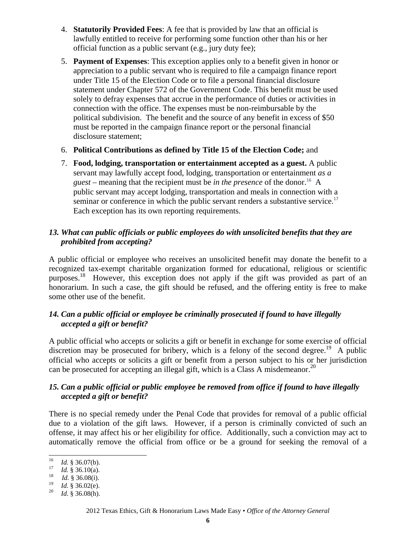- 4. **Statutorily Provided Fees**: A fee that is provided by law that an official is lawfully entitled to receive for performing some function other than his or her official function as a public servant (e.g., jury duty fee);
- 5. **Payment of Expenses**: This exception applies only to a benefit given in honor or appreciation to a public servant who is required to file a campaign finance report under Title 15 of the Election Code or to file a personal financial disclosure statement under Chapter 572 of the Government Code. This benefit must be used solely to defray expenses that accrue in the performance of duties or activities in connection with the office. The expenses must be non-reimbursable by the political subdivision. The benefit and the source of any benefit in excess of \$50 must be reported in the campaign finance report or the personal financial disclosure statement;
- 6. **Political Contributions as defined by Title 15 of the Election Code;** and
- 7. **Food, lodging, transportation or entertainment accepted as a guest.** A public servant may lawfully accept food, lodging, transportation or entertainment *as a guest* – meaning that the recipient must be *in the presence* of the donor.<sup>16</sup> A public servant may accept lodging, transportation and meals in connection with a seminar or conference in which the public servant renders a substantive service.<sup>17</sup> Each exception has its own reporting requirements.

#### *13. What can public officials or public employees do with unsolicited benefits that they are prohibited from accepting?*

A public official or employee who receives an unsolicited benefit may donate the benefit to a recognized tax-exempt charitable organization formed for educational, religious or scientific purposes.<sup>18</sup> However, this exception does not apply if the gift was provided as part of an honorarium. In such a case, the gift should be refused, and the offering entity is free to make some other use of the benefit.

## *14. Can a public official or employee be criminally prosecuted if found to have illegally accepted a gift or benefit?*

A public official who accepts or solicits a gift or benefit in exchange for some exercise of official discretion may be prosecuted for bribery, which is a felony of the second degree.<sup>19</sup> A public official who accepts or solicits a gift or benefit from a person subject to his or her jurisdiction can be prosecuted for accepting an illegal gift, which is a Class A misdemeanor.<sup>20</sup>

## *15. Can a public official or public employee be removed from office if found to have illegally accepted a gift or benefit?*

There is no special remedy under the Penal Code that provides for removal of a public official due to a violation of the gift laws. However, if a person is criminally convicted of such an offense, it may affect his or her eligibility for office. Additionally, such a conviction may act to automatically remove the official from office or be a ground for seeking the removal of a

 $16\,$ 

<sup>16</sup> *Id.* § 36.07(b).<br><sup>17</sup> *Id.* § 36.10(a).<br><sup>18</sup> *Id.* § 36.08(i).

<sup>&</sup>lt;sup>19</sup> *Id.* § 36.02(e).<br><sup>20</sup> *Id.* § 36.08(h).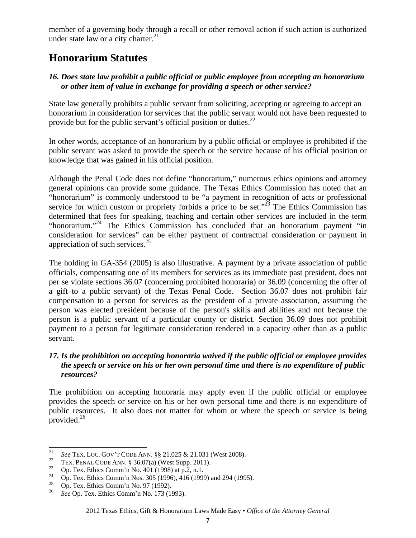member of a governing body through a recall or other removal action if such action is authorized under state law or a city charter.<sup>21</sup>

# **Honorarium Statutes**

## *16. Does state law prohibit a public official or public employee from accepting an honorarium or other item of value in exchange for providing a speech or other service?*

State law generally prohibits a public servant from soliciting, accepting or agreeing to accept an honorarium in consideration for services that the public servant would not have been requested to provide but for the public servant's official position or duties.<sup>22</sup>

In other words, acceptance of an honorarium by a public official or employee is prohibited if the public servant was asked to provide the speech or the service because of his official position or knowledge that was gained in his official position.

Although the Penal Code does not define "honorarium," numerous ethics opinions and attorney general opinions can provide some guidance. The Texas Ethics Commission has noted that an "honorarium" is commonly understood to be "a payment in recognition of acts or professional service for which custom or propriety forbids a price to be set." $^{23}$  The Ethics Commission has determined that fees for speaking, teaching and certain other services are included in the term "honorarium."<sup>24</sup> The Ethics Commission has concluded that an honorarium payment "in consideration for services" can be either payment of contractual consideration or payment in appreciation of such services. $25$ 

The holding in GA-354 (2005) is also illustrative. A payment by a private association of public officials, compensating one of its members for services as its immediate past president, does not per se violate sections 36.07 (concerning prohibited honoraria) or 36.09 (concerning the offer of a gift to a public servant) of the Texas Penal Code. Section 36.07 does not prohibit fair compensation to a person for services as the president of a private association, assuming the person was elected president because of the person's skills and abilities and not because the person is a public servant of a particular county or district. Section 36.09 does not prohibit payment to a person for legitimate consideration rendered in a capacity other than as a public servant.

## *17. Is the prohibition on accepting honoraria waived if the public official or employee provides the speech or service on his or her own personal time and there is no expenditure of public resources?*

The prohibition on accepting honoraria may apply even if the public official or employee provides the speech or service on his or her own personal time and there is no expenditure of public resources. It also does not matter for whom or where the speech or service is being provided. $^{26}$ 

<sup>21</sup> <sup>21</sup> See TEX. LOC. GOV'T CODE ANN. §§ 21.025 & 21.031 (West 2008).<br><sup>22</sup> TEX. PENAL CODE ANN. § 36.07(a) (West Supp. 2011).<br>**23** Op. Tex. Ethics Comm'n No. 401 (1998) at p.2, n.1.

<sup>&</sup>lt;sup>24</sup> Op. Tex. Ethics Comm'n Nos. 305 (1996), 416 (1999) and 294 (1995).<br><sup>25</sup> On Tay Ethics Comm'n No. 07 (1002).

 $^{25}$  Op. Tex. Ethics Comm'n No. 97 (1992).

<sup>26</sup> *See* Op. Tex. Ethics Comm'n No. 173 (1993).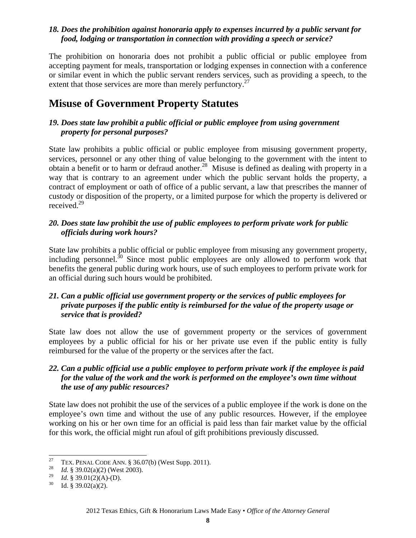#### *18. Does the prohibition against honoraria apply to expenses incurred by a public servant for food, lodging or transportation in connection with providing a speech or service?*

The prohibition on honoraria does not prohibit a public official or public employee from accepting payment for meals, transportation or lodging expenses in connection with a conference or similar event in which the public servant renders services, such as providing a speech, to the extent that those services are more than merely perfunctory.<sup>27</sup>

# **Misuse of Government Property Statutes**

#### *19. Does state law prohibit a public official or public employee from using government property for personal purposes?*

State law prohibits a public official or public employee from misusing government property, services, personnel or any other thing of value belonging to the government with the intent to obtain a benefit or to harm or defraud another.<sup>28</sup> Misuse is defined as dealing with property in a way that is contrary to an agreement under which the public servant holds the property, a contract of employment or oath of office of a public servant, a law that prescribes the manner of custody or disposition of the property, or a limited purpose for which the property is delivered or received.29

#### *20. Does state law prohibit the use of public employees to perform private work for public officials during work hours?*

State law prohibits a public official or public employee from misusing any government property, including personnel.<sup>30</sup> Since most public employees are only allowed to perform work that benefits the general public during work hours, use of such employees to perform private work for an official during such hours would be prohibited.

#### *21. Can a public official use government property or the services of public employees for private purposes if the public entity is reimbursed for the value of the property usage or service that is provided?*

State law does not allow the use of government property or the services of government employees by a public official for his or her private use even if the public entity is fully reimbursed for the value of the property or the services after the fact.

## *22. Can a public official use a public employee to perform private work if the employee is paid for the value of the work and the work is performed on the employee's own time without the use of any public resources?*

State law does not prohibit the use of the services of a public employee if the work is done on the employee's own time and without the use of any public resources. However, if the employee working on his or her own time for an official is paid less than fair market value by the official for this work, the official might run afoul of gift prohibitions previously discussed.

<sup>27</sup> <sup>27</sup> TEX. PENAL CODE ANN. § 36.07(b) (West Supp. 2011).<br><sup>28</sup> *Id.* § 39.02(a)(2) (West 2003).<br><sup>29</sup> *Id.* § 39.01(2)(A) (D).

<sup>&</sup>lt;sup>29</sup> *Id.* § 39.01(2)(A)-(D).<br><sup>30</sup> Id. § 39.02(a)(2).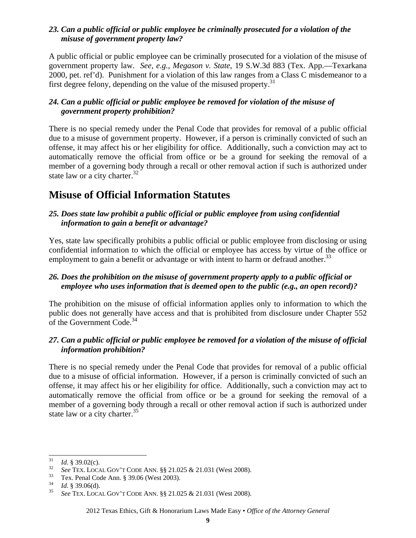#### *23. Can a public official or public employee be criminally prosecuted for a violation of the misuse of government property law?*

A public official or public employee can be criminally prosecuted for a violation of the misuse of government property law. *See, e.g.*, *Megason v. State*, 19 S.W.3d 883 (Tex. App.—Texarkana 2000, pet. ref'd). Punishment for a violation of this law ranges from a Class C misdemeanor to a first degree felony, depending on the value of the misused property.<sup>31</sup>

#### *24. Can a public official or public employee be removed for violation of the misuse of government property prohibition?*

There is no special remedy under the Penal Code that provides for removal of a public official due to a misuse of government property. However, if a person is criminally convicted of such an offense, it may affect his or her eligibility for office. Additionally, such a conviction may act to automatically remove the official from office or be a ground for seeking the removal of a member of a governing body through a recall or other removal action if such is authorized under state law or a city charter. $32$ 

# **Misuse of Official Information Statutes**

#### *25. Does state law prohibit a public official or public employee from using confidential information to gain a benefit or advantage?*

Yes, state law specifically prohibits a public official or public employee from disclosing or using confidential information to which the official or employee has access by virtue of the office or employment to gain a benefit or advantage or with intent to harm or defraud another.<sup>33</sup>

## *26. Does the prohibition on the misuse of government property apply to a public official or employee who uses information that is deemed open to the public (e.g., an open record)?*

The prohibition on the misuse of official information applies only to information to which the public does not generally have access and that is prohibited from disclosure under Chapter 552 of the Government Code.<sup>34</sup>

#### *27. Can a public official or public employee be removed for a violation of the misuse of official information prohibition?*

There is no special remedy under the Penal Code that provides for removal of a public official due to a misuse of official information. However, if a person is criminally convicted of such an offense, it may affect his or her eligibility for office. Additionally, such a conviction may act to automatically remove the official from office or be a ground for seeking the removal of a member of a governing body through a recall or other removal action if such is authorized under state law or a city charter. $35$ 

<sup>31</sup> 

<sup>&</sup>lt;sup>31</sup> *Id.* § 39.02(c).<br><sup>32</sup> See TEX. LOCAL GOV'T CODE ANN. §§ 21.025 & 21.031 (West 2008).<br><sup>33</sup> Tex. Penal Code Ann. § 39.06 (West 2003).<br><sup>34</sup> *Id.* § 39.06(d).

<sup>34</sup>*Id*. § 39.06(d). 35 *See* TEX. LOCAL GOV'T CODE ANN. §§ 21.025 & 21.031 (West 2008).